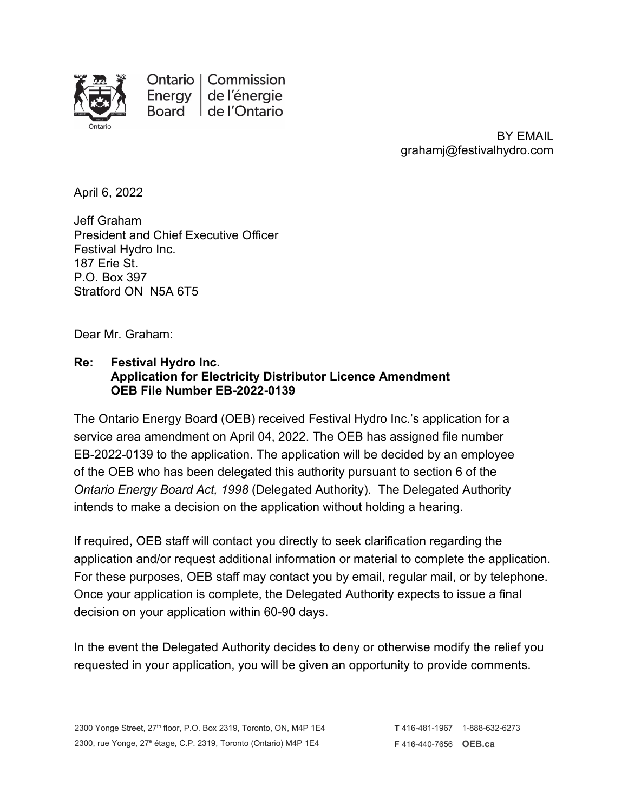

Ontario | Commission Energy de l'énergie Board | de l'Ontario

> BY EMAIL grahamj@festivalhydro.com

April 6, 2022

Jeff Graham President and Chief Executive Officer Festival Hydro Inc. 187 Erie St. P.O. Box 397 Stratford ON N5A 6T5

Dear Mr. Graham:

## **Re: Festival Hydro Inc. Application for Electricity Distributor Licence Amendment OEB File Number EB-2022-0139**

The Ontario Energy Board (OEB) received Festival Hydro Inc.'s application for a service area amendment on April 04, 2022. The OEB has assigned file number EB-2022-0139 to the application. The application will be decided by an employee of the OEB who has been delegated this authority pursuant to section 6 of the *Ontario Energy Board Act, 1998* (Delegated Authority). The Delegated Authority intends to make a decision on the application without holding a hearing.

If required, OEB staff will contact you directly to seek clarification regarding the application and/or request additional information or material to complete the application. For these purposes, OEB staff may contact you by email, regular mail, or by telephone. Once your application is complete, the Delegated Authority expects to issue a final decision on your application within 60-90 days.

In the event the Delegated Authority decides to deny or otherwise modify the relief you requested in your application, you will be given an opportunity to provide comments.